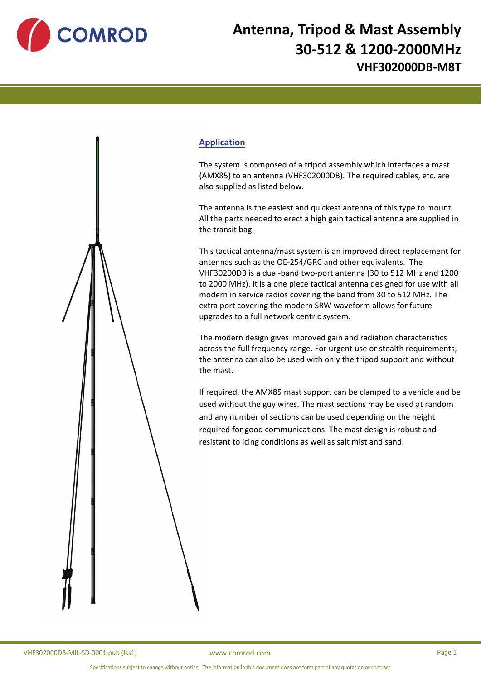

## **Antenna, Tripod & Mast Assembly 30‐512 & 1200‐2000MHz VHF302000DB‐M8T**



The system is composed of a tripod assembly which interfaces a mast (AMX85) to an antenna (VHF302000DB). The required cables, etc. are also supplied as listed below.

The antenna is the easiest and quickest antenna of this type to mount. All the parts needed to erect a high gain tactical antenna are supplied in the transit bag.

This tactical antenna/mast system is an improved direct replacement for antennas such as the OE‐254/GRC and other equivalents. The VHF30200DB is a dual‐band two‐port antenna (30 to 512 MHz and 1200 to 2000 MHz). It is a one piece tactical antenna designed for use with all modern in service radios covering the band from 30 to 512 MHz. The extra port covering the modern SRW waveform allows for future upgrades to a full network centric system.

The modern design gives improved gain and radiation characteristics across the full frequency range. For urgent use or stealth requirements, the antenna can also be used with only the tripod support and without the mast.

If required, the AMX85 mast support can be clamped to a vehicle and be used without the guy wires. The mast sections may be used at random and any number of sections can be used depending on the height required for good communications. The mast design is robust and resistant to icing conditions as well as salt mist and sand.